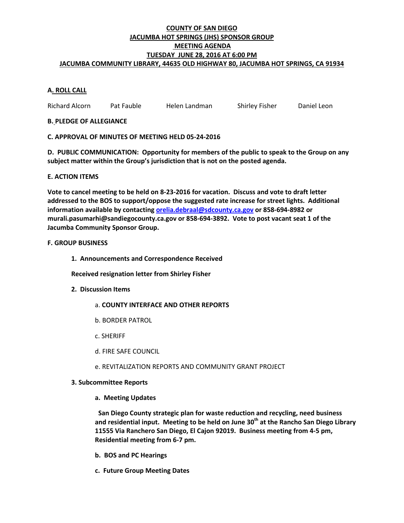### **COUNTY OF SAN DIEGO JACUMBA HOT SPRINGS (JHS) SPONSOR GROUP MEETING AGENDA TUESDAY JUNE 28, 2016 AT 6:00 PM JACUMBA COMMUNITY LIBRARY, 44635 OLD HIGHWAY 80, JACUMBA HOT SPRINGS, CA 91934**

# **A. ROLL CALL**

Richard Alcorn Pat Fauble Helen Landman Shirley Fisher Daniel Leon

### **B. PLEDGE OF ALLEGIANCE**

### **C. APPROVAL OF MINUTES OF MEETING HELD 05-24-2016**

**D. PUBLIC COMMUNICATION: Opportunity for members of the public to speak to the Group on any subject matter within the Group's jurisdiction that is not on the posted agenda.**

### **E. ACTION ITEMS**

**Vote to cancel meeting to be held on 8-23-2016 for vacation. Discuss and vote to draft letter addressed to the BOS to support/oppose the suggested rate increase for street lights. Additional information available by contactin[g orelia.debraal@sdcounty.ca.gov](mailto:orelia.debraal@sdcounty.ca.gov) or 858-694-8982 or murali.pasumarhi@sandiegocounty.ca.gov or 858-694-3892. Vote to post vacant seat 1 of the Jacumba Community Sponsor Group.**

### **F. GROUP BUSINESS**

**1. Announcements and Correspondence Received**

**Received resignation letter from Shirley Fisher**

- **2. Discussion Items**
	- a. **COUNTY INTERFACE AND OTHER REPORTS**
	- b. BORDER PATROL
	- c. SHERIFF
	- d. FIRE SAFE COUNCIL
	- e. REVITALIZATION REPORTS AND COMMUNITY GRANT PROJECT

### **3. Subcommittee Reports**

**a. Meeting Updates**

 **San Diego County strategic plan for waste reduction and recycling, need business and residential input. Meeting to be held on June 30th at the Rancho San Diego Library 11555 Via Ranchero San Diego, El Cajon 92019. Business meeting from 4-5 pm, Residential meeting from 6-7 pm.**

- **b. BOS and PC Hearings**
- **c. Future Group Meeting Dates**